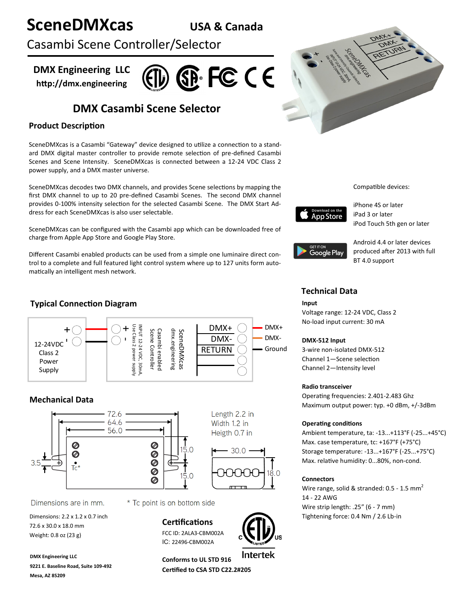# **SceneDMXcas USA & Canada**

Casambi Scene Controller/Selector

**DMX Engineering LLC http://dmx.engineering**



# **DMX Casambi Scene Selector**

# **Product Description**

SceneDMXcas is a Casambi "Gateway" device designed to utilize a connection to a standard DMX digital master controller to provide remote selection of pre-defined Casambi Scenes and Scene Intensity. SceneDMXcas is connected between a 12-24 VDC Class 2 power supply, and a DMX master universe.

SceneDMXcas decodes two DMX channels, and provides Scene selections by mapping the first DMX channel to up to 20 pre-defined Casambi Scenes. The second DMX channel provides 0-100% intensity selection for the selected Casambi Scene. The DMX Start Address for each SceneDMXcas is also user selectable.

SceneDMXcas can be configured with the Casambi app which can be downloaded free of charge from Apple App Store and Google Play Store.

Different Casambi enabled products can be used from a simple one luminaire direct control to a complete and full featured light control system where up to 127 units form automatically an intelligent mesh network.

# **Typical Connection Diagram**



# **Mechanical Data**



Dimensions are in mm.

72.6 x 30.0 x 18.0 mm Weight: 0.8 oz (23 g)

**DMX Engineering LLC 9221 E. Baseline Road, Suite 109-492 Mesa, AZ 85209**

\* Tc point is on bottom side

## **Certifications**

FCC ID: 2ALA3-CBM002A IC: 22496-CBM002A



Length 2.2 in

Width 1.2 in

Heigth 0.7 in

30.0

**Conforms to UL STD 916 Certified to CSA STD C22.2#205**



Compatible devices:



iPhone 4S or later iPad 3 or later iPod Touch 5th gen or later



Android 4.4 or later devices produced after 2013 with full BT 4.0 support

# **Technical Data**

#### **Input**

Voltage range: 12-24 VDC, Class 2 No-load input current: 30 mA

#### **DMX-512 Input**

3-wire non-isolated DMX-512 Channel 1—Scene selection Channel 2—Intensity level

#### **Radio transceiver**

Operating frequencies: 2.401-2.483 Ghz Maximum output power: typ. +0 dBm, +/-3dBm

### **Operating conditions**

Ambient temperature, ta: -13...+113°F (-25...+45°C) Max. case temperature, tc: +167°F (+75°C) Storage temperature: -13...+167°F (-25...+75°C) Max. relative humidity: 0...80%, non-cond.

### **Connectors**

Wire range, solid & stranded:  $0.5 - 1.5$  mm<sup>2</sup> 14 - 22 AWG Wire strip length: .25" (6 - 7 mm) Dimensions:  $2.2 \times 1.2 \times 0.7$  inch Tightening force: 0.4 Nm / 2.6 Lb-in